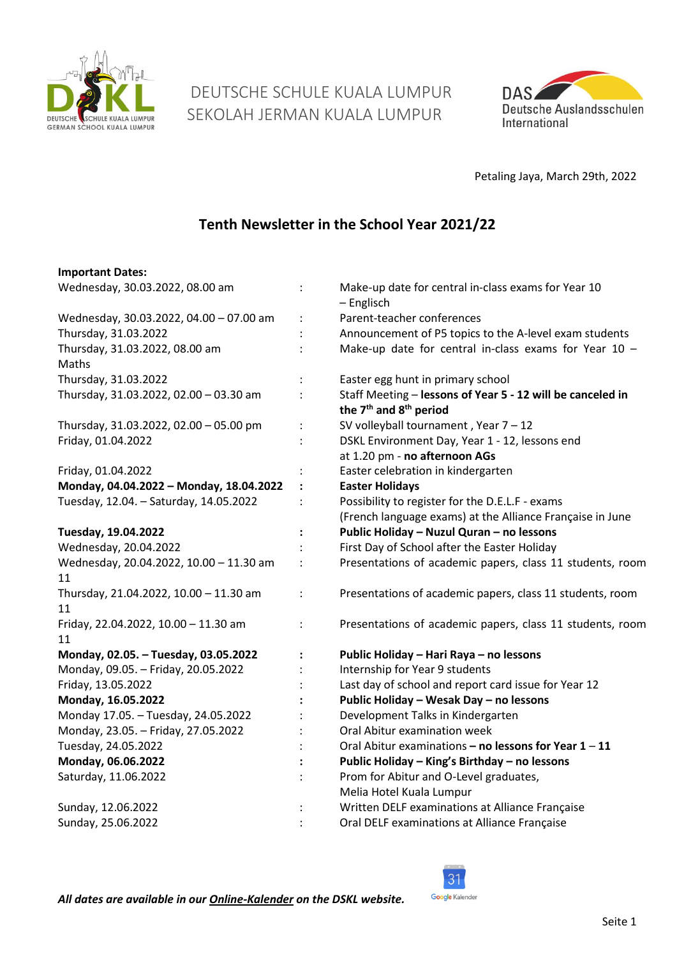

 DEUTSCHE SCHULE KUALA LUMPUR SEKOLAH JERMAN KUALA LUMPUR



Petaling Jaya, March 29th, 2022

# **Tenth Newsletter in the School Year 2021/22**

#### **Important Dates:**

| Wednesday, 30.03.2022, 08.00 am         |                | Make-up date for central in-class exams for Year 10<br>- Englisch |
|-----------------------------------------|----------------|-------------------------------------------------------------------|
| Wednesday, 30.03.2022, 04.00 - 07.00 am | $\ddot{\cdot}$ | Parent-teacher conferences                                        |
| Thursday, 31.03.2022                    |                | Announcement of P5 topics to the A-level exam students            |
| Thursday, 31.03.2022, 08.00 am          |                | Make-up date for central in-class exams for Year $10 -$           |
| Maths                                   |                |                                                                   |
| Thursday, 31.03.2022                    |                | Easter egg hunt in primary school                                 |
| Thursday, 31.03.2022, 02.00 - 03.30 am  |                | Staff Meeting - lessons of Year 5 - 12 will be canceled in        |
|                                         |                | the 7 <sup>th</sup> and 8 <sup>th</sup> period                    |
| Thursday, 31.03.2022, 02.00 - 05.00 pm  | $\ddot{\cdot}$ | SV volleyball tournament, Year $7 - 12$                           |
| Friday, 01.04.2022                      |                | DSKL Environment Day, Year 1 - 12, lessons end                    |
|                                         |                | at 1.20 pm - no afternoon AGs                                     |
| Friday, 01.04.2022                      |                | Easter celebration in kindergarten                                |
| Monday, 04.04.2022 - Monday, 18.04.2022 | $\ddot{\cdot}$ | <b>Easter Holidays</b>                                            |
| Tuesday, 12.04. - Saturday, 14.05.2022  |                | Possibility to register for the D.E.L.F - exams                   |
|                                         |                | (French language exams) at the Alliance Française in June         |
| Tuesday, 19.04.2022                     | $\ddot{\cdot}$ | Public Holiday - Nuzul Quran - no lessons                         |
| Wednesday, 20.04.2022                   |                | First Day of School after the Easter Holiday                      |
| Wednesday, 20.04.2022, 10.00 - 11.30 am | $\ddot{\cdot}$ | Presentations of academic papers, class 11 students, room         |
| 11                                      |                |                                                                   |
| Thursday, 21.04.2022, 10.00 - 11.30 am  |                | Presentations of academic papers, class 11 students, room         |
| 11                                      |                |                                                                   |
| Friday, 22.04.2022, 10.00 - 11.30 am    |                | Presentations of academic papers, class 11 students, room         |
| 11                                      |                |                                                                   |
| Monday, 02.05. - Tuesday, 03.05.2022    |                | Public Holiday - Hari Raya - no lessons                           |
| Monday, 09.05. - Friday, 20.05.2022     |                | Internship for Year 9 students                                    |
| Friday, 13.05.2022                      |                | Last day of school and report card issue for Year 12              |
| Monday, 16.05.2022                      |                | Public Holiday - Wesak Day - no lessons                           |
| Monday 17.05. - Tuesday, 24.05.2022     |                | Development Talks in Kindergarten                                 |
| Monday, 23.05. - Friday, 27.05.2022     |                | Oral Abitur examination week                                      |
| Tuesday, 24.05.2022                     |                | Oral Abitur examinations - no lessons for Year 1 - 11             |
| Monday, 06.06.2022                      |                | Public Holiday - King's Birthday - no lessons                     |
| Saturday, 11.06.2022                    |                | Prom for Abitur and O-Level graduates,                            |
|                                         |                | Melia Hotel Kuala Lumpur                                          |
| Sunday, 12.06.2022                      |                | Written DELF examinations at Alliance Française                   |
| Sunday, 25.06.2022                      |                | Oral DELF examinations at Alliance Française                      |
|                                         |                |                                                                   |

31 Google Kalender

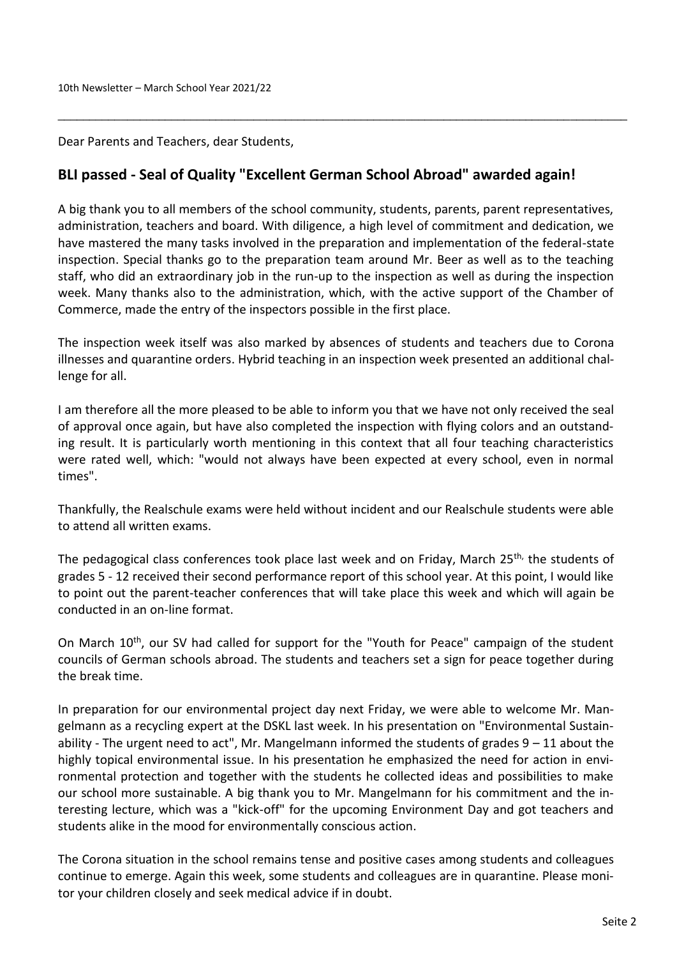Dear Parents and Teachers, dear Students,

## **BLI passed - Seal of Quality "Excellent German School Abroad" awarded again!**

A big thank you to all members of the school community, students, parents, parent representatives, administration, teachers and board. With diligence, a high level of commitment and dedication, we have mastered the many tasks involved in the preparation and implementation of the federal-state inspection. Special thanks go to the preparation team around Mr. Beer as well as to the teaching staff, who did an extraordinary job in the run-up to the inspection as well as during the inspection week. Many thanks also to the administration, which, with the active support of the Chamber of Commerce, made the entry of the inspectors possible in the first place.

\_\_\_\_\_\_\_\_\_\_\_\_\_\_\_\_\_\_\_\_\_\_\_\_\_\_\_\_\_\_\_\_\_\_\_\_\_\_\_\_\_\_\_\_\_\_\_\_\_\_\_\_\_\_\_\_\_\_\_\_\_\_\_\_\_\_\_\_\_\_\_\_\_\_\_\_\_\_\_\_\_\_\_\_\_\_\_\_\_\_

The inspection week itself was also marked by absences of students and teachers due to Corona illnesses and quarantine orders. Hybrid teaching in an inspection week presented an additional challenge for all.

I am therefore all the more pleased to be able to inform you that we have not only received the seal of approval once again, but have also completed the inspection with flying colors and an outstanding result. It is particularly worth mentioning in this context that all four teaching characteristics were rated well, which: "would not always have been expected at every school, even in normal times".

Thankfully, the Realschule exams were held without incident and our Realschule students were able to attend all written exams.

The pedagogical class conferences took place last week and on Friday, March 25<sup>th,</sup> the students of grades 5 - 12 received their second performance report of this school year. At this point, I would like to point out the parent-teacher conferences that will take place this week and which will again be conducted in an on-line format.

On March 10<sup>th</sup>, our SV had called for support for the "Youth for Peace" campaign of the student councils of German schools abroad. The students and teachers set a sign for peace together during the break time.

In preparation for our environmental project day next Friday, we were able to welcome Mr. Mangelmann as a recycling expert at the DSKL last week. In his presentation on "Environmental Sustainability - The urgent need to act", Mr. Mangelmann informed the students of grades 9 – 11 about the highly topical environmental issue. In his presentation he emphasized the need for action in environmental protection and together with the students he collected ideas and possibilities to make our school more sustainable. A big thank you to Mr. Mangelmann for his commitment and the interesting lecture, which was a "kick-off" for the upcoming Environment Day and got teachers and students alike in the mood for environmentally conscious action.

The Corona situation in the school remains tense and positive cases among students and colleagues continue to emerge. Again this week, some students and colleagues are in quarantine. Please monitor your children closely and seek medical advice if in doubt.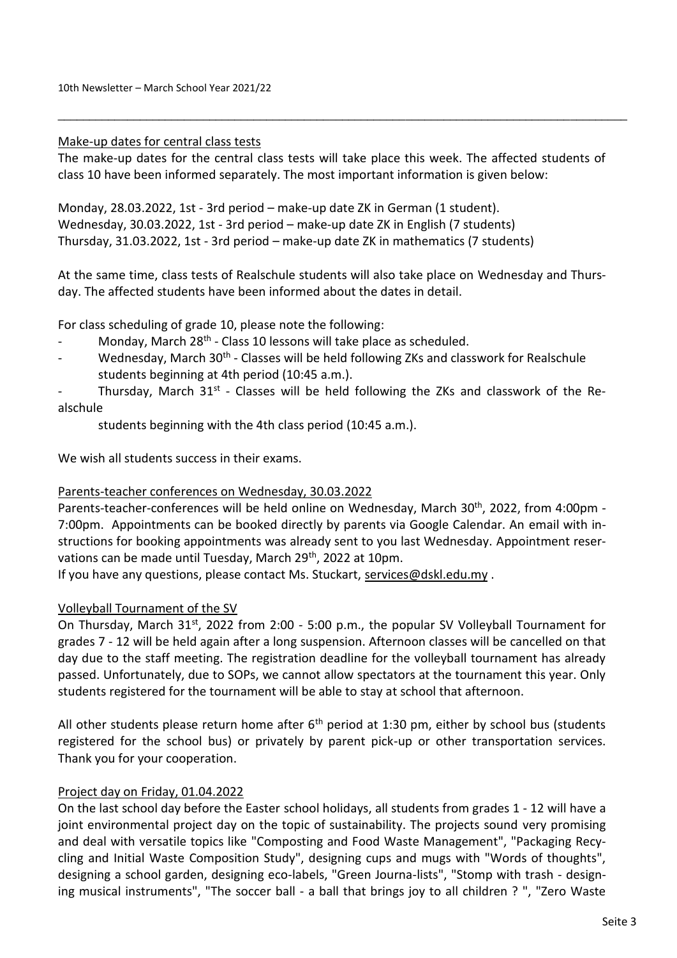#### Make-up dates for central class tests

The make-up dates for the central class tests will take place this week. The affected students of class 10 have been informed separately. The most important information is given below:

\_\_\_\_\_\_\_\_\_\_\_\_\_\_\_\_\_\_\_\_\_\_\_\_\_\_\_\_\_\_\_\_\_\_\_\_\_\_\_\_\_\_\_\_\_\_\_\_\_\_\_\_\_\_\_\_\_\_\_\_\_\_\_\_\_\_\_\_\_\_\_\_\_\_\_\_\_\_\_\_\_\_\_\_\_\_\_\_\_\_

Monday, 28.03.2022, 1st - 3rd period – make-up date ZK in German (1 student). Wednesday, 30.03.2022, 1st - 3rd period – make-up date ZK in English (7 students) Thursday, 31.03.2022, 1st - 3rd period – make-up date ZK in mathematics (7 students)

At the same time, class tests of Realschule students will also take place on Wednesday and Thursday. The affected students have been informed about the dates in detail.

For class scheduling of grade 10, please note the following:

- Monday, March 28<sup>th</sup> Class 10 lessons will take place as scheduled.
- Wednesday, March 30<sup>th</sup> Classes will be held following ZKs and classwork for Realschule students beginning at 4th period (10:45 a.m.).
- Thursday, March 31<sup>st</sup> Classes will be held following the ZKs and classwork of the Realschule

students beginning with the 4th class period (10:45 a.m.).

We wish all students success in their exams.

## Parents-teacher conferences on Wednesday, 30.03.2022

Parents-teacher-conferences will be held online on Wednesday, March 30<sup>th</sup>, 2022, from 4:00pm -7:00pm. Appointments can be booked directly by parents via Google Calendar. An email with instructions for booking appointments was already sent to you last Wednesday. Appointment reservations can be made until Tuesday, March 29<sup>th</sup>, 2022 at 10pm.

If you have any questions, please contact Ms. Stuckart, [services@dskl.edu.my](mailto:services@dskl.edu.my) .

## Volleyball Tournament of the SV

On Thursday, March 31st, 2022 from 2:00 - 5:00 p.m., the popular SV Volleyball Tournament for grades 7 - 12 will be held again after a long suspension. Afternoon classes will be cancelled on that day due to the staff meeting. The registration deadline for the volleyball tournament has already passed. Unfortunately, due to SOPs, we cannot allow spectators at the tournament this year. Only students registered for the tournament will be able to stay at school that afternoon.

All other students please return home after  $6<sup>th</sup>$  period at 1:30 pm, either by school bus (students registered for the school bus) or privately by parent pick-up or other transportation services. Thank you for your cooperation.

## Project day on Friday, 01.04.2022

On the last school day before the Easter school holidays, all students from grades 1 - 12 will have a joint environmental project day on the topic of sustainability. The projects sound very promising and deal with versatile topics like "Composting and Food Waste Management", "Packaging Recycling and Initial Waste Composition Study", designing cups and mugs with "Words of thoughts", designing a school garden, designing eco-labels, "Green Journa-lists", "Stomp with trash - designing musical instruments", "The soccer ball - a ball that brings joy to all children ? ", "Zero Waste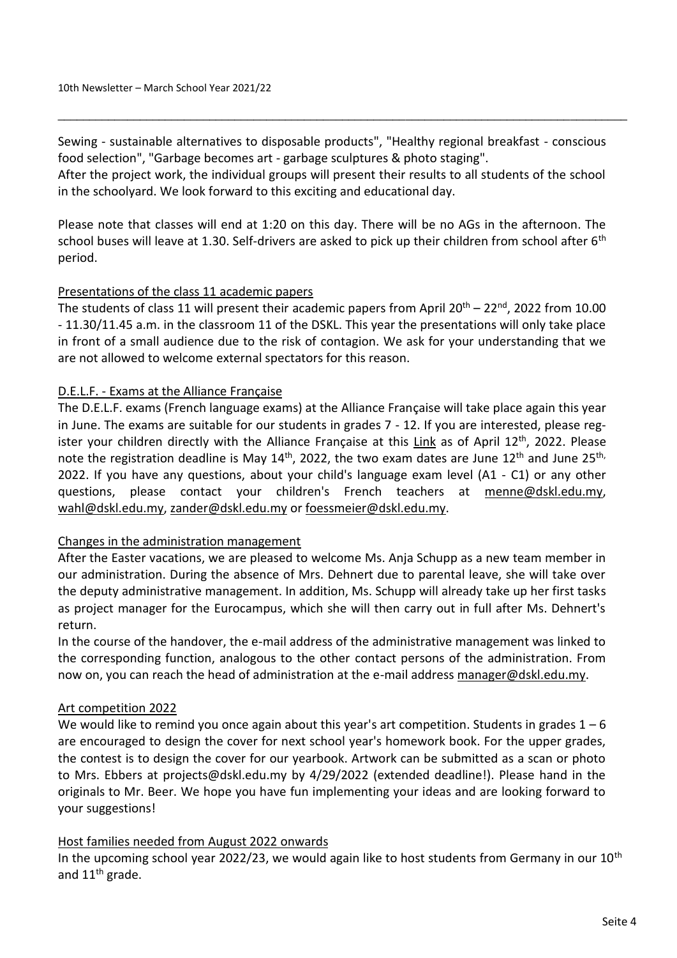Sewing - sustainable alternatives to disposable products", "Healthy regional breakfast - conscious food selection", "Garbage becomes art - garbage sculptures & photo staging".

\_\_\_\_\_\_\_\_\_\_\_\_\_\_\_\_\_\_\_\_\_\_\_\_\_\_\_\_\_\_\_\_\_\_\_\_\_\_\_\_\_\_\_\_\_\_\_\_\_\_\_\_\_\_\_\_\_\_\_\_\_\_\_\_\_\_\_\_\_\_\_\_\_\_\_\_\_\_\_\_\_\_\_\_\_\_\_\_\_\_

After the project work, the individual groups will present their results to all students of the school in the schoolyard. We look forward to this exciting and educational day.

Please note that classes will end at 1:20 on this day. There will be no AGs in the afternoon. The school buses will leave at 1.30. Self-drivers are asked to pick up their children from school after 6<sup>th</sup> period.

## Presentations of the class 11 academic papers

The students of class 11 will present their academic papers from April  $20^{th}$  – 22<sup>nd</sup>, 2022 from 10.00 - 11.30/11.45 a.m. in the classroom 11 of the DSKL. This year the presentations will only take place in front of a small audience due to the risk of contagion. We ask for your understanding that we are not allowed to welcome external spectators for this reason.

## D.E.L.F. - Exams at the Alliance Française

The D.E.L.F. exams (French language exams) at the Alliance Française will take place again this year in June. The exams are suitable for our students in grades 7 - 12. If you are interested, please reg-ister your children directly with the Alliance Française at this [Link](https://www.alliancefrancaise.org.my/diplomas/delf-dalf/) as of April 12<sup>th</sup>, 2022. Please note the registration deadline is May  $14<sup>th</sup>$ , 2022, the two exam dates are June  $12<sup>th</sup>$  and June  $25<sup>th</sup>$ , 2022. If you have any questions, about your child's language exam level (A1 - C1) or any other questions, please contact your children's French teachers at [menne@dskl.edu.my,](mailto:menne@dskl.edu.my) [wahl@dskl.edu.my,](mailto:wahl@dskl.edu.my) [zander@dskl.edu.my](mailto:zander@dskl.edu.my) or [foessmeier@dskl.edu.my.](mailto:foessmeier@dskl.edu.my)

## Changes in the administration management

After the Easter vacations, we are pleased to welcome Ms. Anja Schupp as a new team member in our administration. During the absence of Mrs. Dehnert due to parental leave, she will take over the deputy administrative management. In addition, Ms. Schupp will already take up her first tasks as project manager for the Eurocampus, which she will then carry out in full after Ms. Dehnert's return.

In the course of the handover, the e-mail address of the administrative management was linked to the corresponding function, analogous to the other contact persons of the administration. From now on, you can reach the head of administration at the e-mail address [manager@dskl.edu.my.](mailto:manager@dskl.edu.my)

## Art competition 2022

We would like to remind you once again about this year's art competition. Students in grades  $1 - 6$ are encouraged to design the cover for next school year's homework book. For the upper grades, the contest is to design the cover for our yearbook. Artwork can be submitted as a scan or photo to Mrs. Ebbers at projects@dskl.edu.my by 4/29/2022 (extended deadline!). Please hand in the originals to Mr. Beer. We hope you have fun implementing your ideas and are looking forward to your suggestions!

## Host families needed from August 2022 onwards

In the upcoming school year 2022/23, we would again like to host students from Germany in our  $10<sup>th</sup>$ and  $11<sup>th</sup>$  grade.